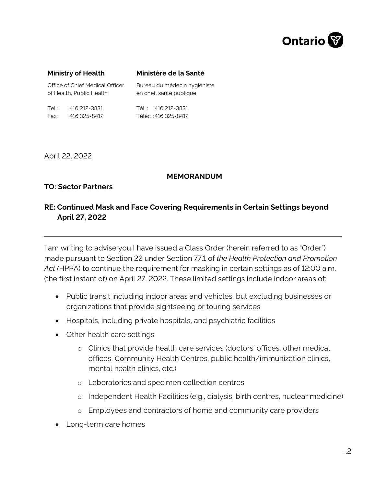

#### **Ministry of Health**

#### **Ministère de la Santé**

| Office of Chief Medical Officer |              | Bureau du médecin hygiéniste |
|---------------------------------|--------------|------------------------------|
| of Health, Public Health        |              | en chef, santé publique      |
| Tel.:                           | 416 212-3831 | Tél.: 416 212-3831           |
| Fax:                            | 416 325-8412 | Téléc. :416 325-8412         |

April 22, 2022

### **MEMORANDUM**

## **TO: Sector Partners**

# **RE: Continued Mask and Face Covering Requirements in Certain Settings beyond April 27, 2022**

I am writing to advise you I have issued a Class Order (herein referred to as "Order") made pursuant to Section 22 under Section 77.1 of *the Health Protection and Promotion Act (*HPPA) to continue the requirement for masking in certain settings as of 12:00 a.m. (the first instant of) on April 27, 2022. These limited settings include indoor areas of:

- Public transit including indoor areas and vehicles, but excluding businesses or organizations that provide sightseeing or touring services
- Hospitals, including private hospitals, and psychiatric facilities
- Other health care settings:
	- o Clinics that provide health care services (doctors' offices, other medical offices, Community Health Centres, public health/immunization clinics, mental health clinics, etc.)
	- o Laboratories and specimen collection centres
	- o Independent Health Facilities (e.g., dialysis, birth centres, nuclear medicine)
	- o Employees and contractors of home and community care providers
- Long-term care homes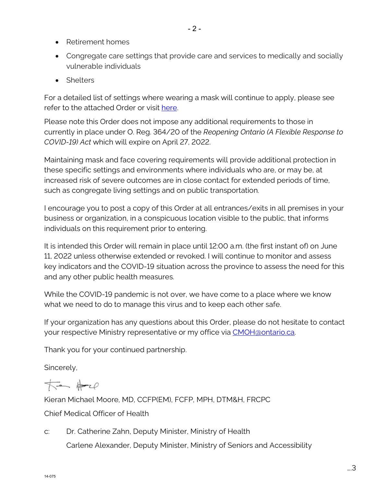- Retirement homes
- Congregate care settings that provide care and services to medically and socially vulnerable individuals
- Shelters

For a detailed list of settings where wearing a mask will continue to apply, please see refer to the attached Order or visit [here.](https://health.gov.on.ca/en/pro/programs/publichealth/coronavirus/docs/orders/section_22_class_order_continued_mask_face_covering_requirements.pdf) 

Please note this Order does not impose any additional requirements to those in currently in place under O. Reg. 364/20 of the *Reopening Ontario (A Flexible Response to COVID-19) Act* which will expire on April 27, 2022.

Maintaining mask and face covering requirements will provide additional protection in these specific settings and environments where individuals who are, or may be, at increased risk of severe outcomes are in close contact for extended periods of time, such as congregate living settings and on public transportation.

I encourage you to post a copy of this Order at all entrances/exits in all premises in your business or organization, in a conspicuous location visible to the public, that informs individuals on this requirement prior to entering.

It is intended this Order will remain in place until 12:00 a.m. (the first instant of) on June 11, 2022 unless otherwise extended or revoked. I will continue to monitor and assess key indicators and the COVID-19 situation across the province to assess the need for this and any other public health measures.

While the COVID-19 pandemic is not over, we have come to a place where we know what we need to do to manage this virus and to keep each other safe.

If your organization has any questions about this Order, please do not hesitate to contact your respective Ministry representative or my office via [CMOH@ontario.ca.](mailto:CMOH@ontario.ca)

Thank you for your continued partnership.

Sincerely,

 $\star$  +  $\star$ 

Kieran Michael Moore, MD, CCFP(EM), FCFP, MPH, DTM&H, FRCPC Chief Medical Officer of Health

c: Dr. Catherine Zahn, Deputy Minister, Ministry of Health Carlene Alexander, Deputy Minister, Ministry of Seniors and Accessibility